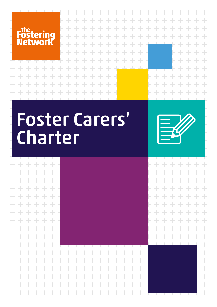

 $+ +$ 

 $+$ 

 $+$ 

 $+$ 

 $+$ 

 $+ + + +$ 

 $+ + + +$ 

 $+ + + +$ 

 $+ + + +$ 

 $+ + + +$ 

 $+ + + +$ 

 $+ + + +$ 

 $+ + + +$ 

 $+$ 

 $\pm$ 

 $+ + +$ 

 $+ +$ 

 $\perp$ 

 $+$ 

 $\!+\!$ 

 $\!+\!$ 

 $+$ 

 $\perp$ 

 $+$ 

 $\!+\!$ 

 $+$ 

 $\pm$ 

 $+$ 

 $\pm$ 

 $+$ 

 $+$ 

 $\pm$ 

 $+ +$ 

 $+$  $+$  $++ +$  $\pm$ + + + + + + + +  $+$  $+$  $+$  $+$  $+$  $\div$  $+$  $+$  $\frac{1}{2}$  $\qquad \qquad +$  $+ + +$  $+$  $+$  $\pm$  $+$  $+$  $\pm$  $+$  $+$  $\div$  $\pm$  $\pm$  $\rightarrow$  $\begin{array}{c} + \end{array}$  $\qquad \qquad +$  $\, +$  $\qquad \qquad +$  $\qquad \qquad +$  $+ +$  $\!+\!$  $+$  $\!+\!$  $\!+\!$  $\!+\!$  $\qquad \qquad +$  $\frac{1}{2}$  $+ +$  $\!+\!$  $\!+\!$  $+$  $\overline{\phantom{0}}$  $\overline{\phantom{0}}$  $-+$  $\qquad \qquad +$  $- +$  $+$  $+$  $+$  $+$  $\pm$  $+ +$  $\rightarrow$ 

## Foster Carers' Charter



 $+$  $+$  $+$  $+$  $\pm$  $+$  $+$  $+$  $+$  $\pm$  $+ +$  $+$  $+$  $\overline{\phantom{0}}$  $\div$  $\pm$  $+$  $+ +$  $+$  $+ + +$  $\pm$  $\qquad \qquad +$  $+ +$  $+$  $\pm$  $+$  $+$  $+$  $++$  $+$  $+ + + + +$ 

 $+$  $\pm$  $+$  $\pm$  $+$  $\qquad \qquad +$  $+$  $+$  $+ +$  $+$  $\qquad \qquad \qquad +$  $+$  $+ +$  $+$  $+$  $+$  $+ +$  $+$  $\pm$  $\pm$  $\frac{1}{2}$  $+ +$  $+$  $+$  $+ +$  $+ +$  $+$  $+$  $\!+\!$  $++$  $+$ + + + + + +  $+$  $+$  $+$  $\pm$  $+$  $+ + +$ + + + + + + + +  $+$  $+$ + + + + + + + + + + + + + +  $+$  $+$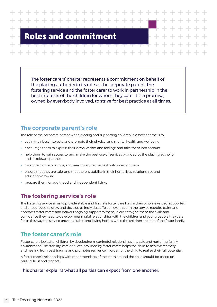## **Roles and commitment**

The foster carers' charter represents a commitment on behalf of the placing authority in its role as the corporate parent, the fostering service and the foster carer to work in partnership in the best interests of the children for whom they care. It is a promise, owned by everybody involved, to strive for best practice at all times.

#### **The corporate parent's role**

The role of the corporate parent when placing and supporting children in a foster home is to:

- **•** act in their best interests, and promote their physical and mental health and wellbeing
- **•** encourage them to express their views, wishes and feelings and take them into account
- **•** help them to gain access to, and make the best use of, services provided by the placing authority and its relevant partners
- **•** promote high aspirations, and seek to secure the best outcomes for them
- **•** ensure that they are safe, and that there is stability in their home lives, relationships and education or work
- **•** prepare them for adulthood and independent living.

#### **The fostering service's role**

The fostering service aims to provide stable and first rate foster care for children who are valued, supported and encouraged to grow and develop as individuals. To achieve this aim the service recruits, trains and approves foster carers and delivers ongoing support to them, in order to give them the skills and confidence they need to develop meaningful relationships with the children and young people they care for. In this way the service provides stable and loving homes while the children are part of the foster family.

#### **The foster carer's role**

Foster carers look after children by developing meaningful relationships in a safe and nurturing family environment. The stability, care and love provided by foster carers helps the child to achieve recovery and healing from past trauma and promotes resilience in order for the child to realise their full potential.

A foster carer's relationships with other members of the team around the child should be based on mutual trust and respect.

#### This charter explains what all parties can expect from one another.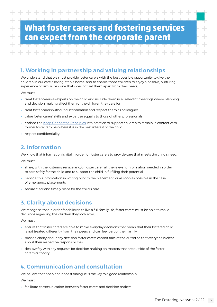## **What foster carers and fostering services can expect from the corporate parent**

#### **1. Working in partnership and valuing relationships**

We understand that we must provide foster carers with the best possible opportunity to give the children in our care a loving, stable home, and to enable those children to enjoy a positive, nurturing experience of family life – one that does not set them apart from their peers.

We must:

- **•** treat foster carers as experts on the child and include them in all relevant meetings where planning and decision making affect them or the children they care for
- **•** treat foster carers without discrimination and respect them as colleagues
- **•** value foster carers' skills and expertise equally to those of other professionals
- embed the [Keep Connected Principles](https://www.thefosteringnetwork.org.uk/sites/default/files/2021-03/keepconnectedprinciples_0.pdf) into practice to support children to remain in contact with former foster families where it is in the best interest of the child.
- **•** respect confidentiality.

#### **2. Information**

We know that information is vital in order for foster carers to provide care that meets the child's need.

We must:

- **•** share, with the fostering service and/or foster carer, all the relevant information needed in order to care safely for the child and to support the child in fulfilling their potential
- **•** provide this information in writing prior to the placement, or as soon as possible in the case of emergency placements
- **•** secure clear and timely plans for the child's care.

#### **3. Clarity about decisions**

We recognise that in order for children to live a full family life, foster carers must be able to make decisions regarding the children they look after.

We must:

- **•** ensure that foster carers are able to make everyday decisions that mean that their fostered child is not treated differently from their peers and can feel part of their family
- **•** provide clarity about any decision foster carers cannot take at the outset so that everyone is clear about their respective responsibilities
- **•** deal swiftly with any requests for decision making on matters that are outside of the foster carer's authority.

#### **4. Communication and consultation**

We believe that open and honest dialogue is the key to a good relationship.

We must:

**•** facilitate communication between foster carers and decision makers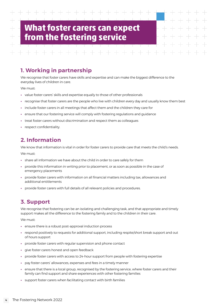### **What foster carers can expect from the fostering service**

#### **1. Working in partnership**

We recognise that foster carers have skills and expertise and can make the biggest difference to the everyday lives of children in care.

We must:

- **•** value foster carers' skills and expertise equally to those of other professionals
- **•** recognise that foster carers are the people who live with children every day and usually know them best
- **•** include foster carers in all meetings that affect them and the children they care for
- **•** ensure that our fostering service will comply with fostering regulations and guidance
- **•** treat foster carers without discrimination and respect them as colleagues
- **•** respect confidentiality.

#### **2. Information**

We know that information is vital in order for foster carers to provide care that meets the child's needs.

We must:

- **•** share all information we have about the child in order to care safely for them
- **•** provide this information in writing prior to placement, or as soon as possible in the case of emergency placements
- **•** provide foster carers with information on all financial matters including tax, allowances and additional entitlements
- **•** provide foster carers with full details of all relevant policies and procedures.

#### **3. Support**

We recognise that fostering can be an isolating and challenging task, and that appropriate and timely support makes all the difference to the fostering family and to the children in their care.

- **•** ensure there is a robust post-approval induction process
- **•** respond positively to requests for additional support, including respite/short break support and out of hours support
- **•** provide foster carers with regular supervision and phone contact
- **•** give foster carers honest and open feedback
- **•** provide foster carers with access to 24-hour support from people with fostering expertise
- **•** pay foster carers' allowances, expenses and fees in a timely manner
- **•** ensure that there is a local group, recognised by the fostering service, where foster carers and their family can find support and share experiences with other fostering families
- **•** support foster carers when facilitating contact with birth families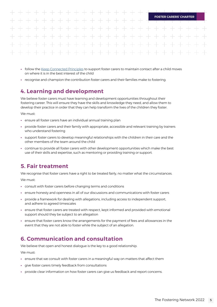# **FOSTER CARERS' CHARTER** طب طب

- follow the [Keep Connected Principles](https://www.thefosteringnetwork.org.uk/sites/default/files/2021-03/keepconnectedprinciples_0.pdf) to support foster carers to maintain contact after a child moves on where it is in the best interest of the child
- **•** recognise and champion the contribution foster carers and their families make to fostering.

#### **4. Learning and development**

We believe foster carers must have learning and development opportunities throughout their fostering career. This will ensure they have the skills and knowledge they need, and allow them to develop their practice in order that they can help transform the lives of the children they foster.

We must:

- **•** ensure all foster carers have an individual annual training plan
- **•** provide foster carers and their family with appropriate, accessible and relevant training by trainers who understand fostering
- **•** support foster carers to develop meaningful relationships with the children in their care and the other members of the team around the child
- **•** continue to provide all foster carers with other development opportunities which make the best use of their skills and expertise, such as mentoring or providing training or support.

#### **5. Fair treatment**

We recognise that foster carers have a right to be treated fairly, no matter what the circumstances.

We must:

- **•** consult with foster carers before changing terms and conditions
- **•** ensure honesty and openness in all of our discussions and communications with foster carers
- **•** provide a framework for dealing with allegations, including access to independent support, and adhere to agreed timescales
- **•** ensure that foster carers are treated with respect, kept informed and provided with emotional support should they be subject to an allegation
- **•** ensure that foster carers know the arrangements for the payment of fees and allowances in the event that they are not able to foster while the subject of an allegation.

#### **6. Communication and consultation**

We believe that open and honest dialogue is the key to a good relationship.

- **•** ensure that we consult with foster carers in a meaningful way on matters that affect them
- **•** give foster carers timely feedback from consultations
- **•** provide clear information on how foster carers can give us feedback and report concerns.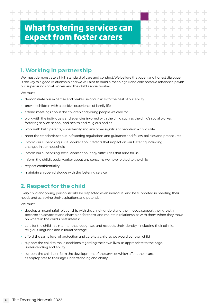## **What fostering services can expect from foster carers**

**1. Working in partnership**

We must demonstrate a high standard of care and conduct. We believe that open and honest dialogue is the key to a good relationship and we will aim to build a meaningful and collaborative relationship with our supervising social worker and the child's social worker.

We must:

- **•** demonstrate our expertise and make use of our skills to the best of our ability
- **•** provide children with a positive experience of family life
- **•** attend meetings about the children and young people we care for
- **•** work with the individuals and agencies involved with the child such as the child's social worker, fostering service, school, and health and religious bodies
- **•** work with birth parents, wider family and any other significant people in a child's life
- **•** meet the standards set out in fostering regulations and guidance and follow policies and procedures
- **•** inform our supervising social worker about factors that impact on our fostering including changes in our household
- **•** inform our supervising social worker about any difficulties that arise for us
- **•** inform the child's social worker about any concerns we have related to the child
- **•** respect confidentiality
- **•** maintain an open dialogue with the fostering service.

#### **2. Respect for the child**

Every child and young person should be respected as an individual and be supported in meeting their needs and achieving their aspirations and potential.

- **•** develop a meaningful relationship with the child understand their needs, support their growth, become an advocate and champion for them, and maintain relationships with them when they move on where in the child's best interest
- **•** care for the child in a manner that recognises and respects their identity including their ethnic, religious, linguistic and cultural heritage
- **•** afford the same level of protection and care to a child as we would our own child
- **•** support the child to make decisions regarding their own lives, as appropriate to their age, understanding and ability
- **•** support the child to inform the development of the services which affect their care, as appropriate to their age, understanding and ability.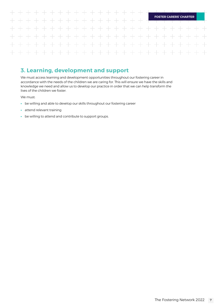#### $+ +$ **FOSTER CARERS' CHARTER**  $+ + +$  $\overline{\phantom{a}}$  $\rightarrow$  $\overline{\phantom{a}}$  $\frac{1}{2}$  $\frac{1}{2}$  $\overline{\phantom{0}}$  $\pm$ + + + + + + + +  $+$  $+$  $\overline{\phantom{0}}$

#### **3. Learning, development and support**

We must access learning and development opportunities throughout our fostering career in accordance with the needs of the children we are caring for. This will ensure we have the skills and knowledge we need and allow us to develop our practice in order that we can help transform the lives of the children we foster.

- **•** be willing and able to develop our skills throughout our fostering career
- **•** attend relevant training
- **•** be willing to attend and contribute to support groups.